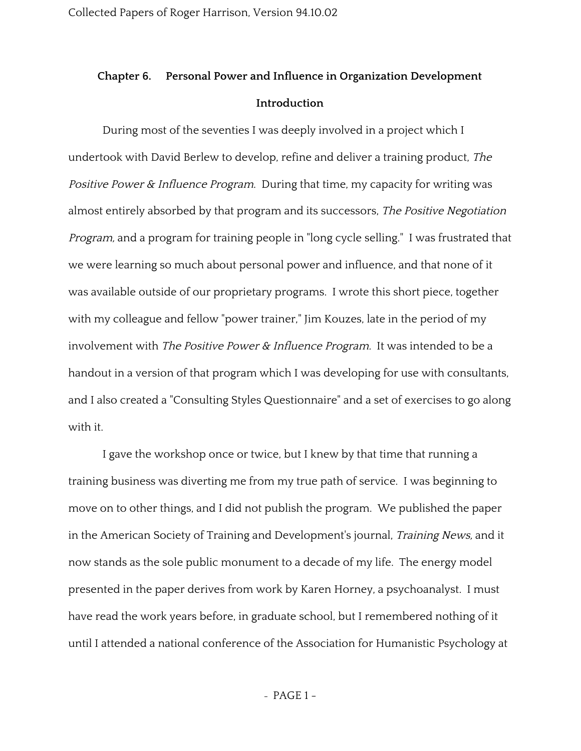# **Chapter 6. Personal Power and Influence in Organization Development Introduction**

During most of the seventies I was deeply involved in a project which I undertook with David Berlew to develop, refine and deliver a training product, The Positive Power & Influence Program. During that time, my capacity for writing was almost entirely absorbed by that program and its successors, The Positive Negotiation Program, and a program for training people in "long cycle selling." I was frustrated that we were learning so much about personal power and influence, and that none of it was available outside of our proprietary programs. I wrote this short piece, together with my colleague and fellow "power trainer," Jim Kouzes, late in the period of my involvement with The Positive Power & Influence Program. It was intended to be a handout in a version of that program which I was developing for use with consultants, and I also created a "Consulting Styles Questionnaire" and a set of exercises to go along with it.

I gave the workshop once or twice, but I knew by that time that running a training business was diverting me from my true path of service. I was beginning to move on to other things, and I did not publish the program. We published the paper in the American Society of Training and Development's journal, Training News, and it now stands as the sole public monument to a decade of my life. The energy model presented in the paper derives from work by Karen Horney, a psychoanalyst. I must have read the work years before, in graduate school, but I remembered nothing of it until I attended a national conference of the Association for Humanistic Psychology at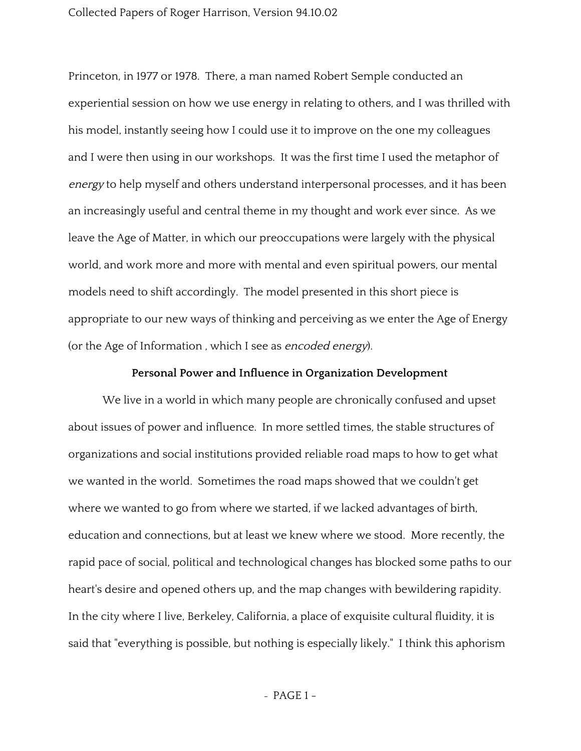Princeton, in 1977 or 1978. There, a man named Robert Semple conducted an experiential session on how we use energy in relating to others, and I was thrilled with his model, instantly seeing how I could use it to improve on the one my colleagues and I were then using in our workshops. It was the first time I used the metaphor of energy to help myself and others understand interpersonal processes, and it has been an increasingly useful and central theme in my thought and work ever since. As we leave the Age of Matter, in which our preoccupations were largely with the physical world, and work more and more with mental and even spiritual powers, our mental models need to shift accordingly. The model presented in this short piece is appropriate to our new ways of thinking and perceiving as we enter the Age of Energy (or the Age of Information , which I see as encoded energy).

#### **Personal Power and Influence in Organization Development**

We live in a world in which many people are chronically confused and upset about issues of power and influence. In more settled times, the stable structures of organizations and social institutions provided reliable road maps to how to get what we wanted in the world. Sometimes the road maps showed that we couldn't get where we wanted to go from where we started, if we lacked advantages of birth, education and connections, but at least we knew where we stood. More recently, the rapid pace of social, political and technological changes has blocked some paths to our heart's desire and opened others up, and the map changes with bewildering rapidity. In the city where I live, Berkeley, California, a place of exquisite cultural fluidity, it is said that "everything is possible, but nothing is especially likely." I think this aphorism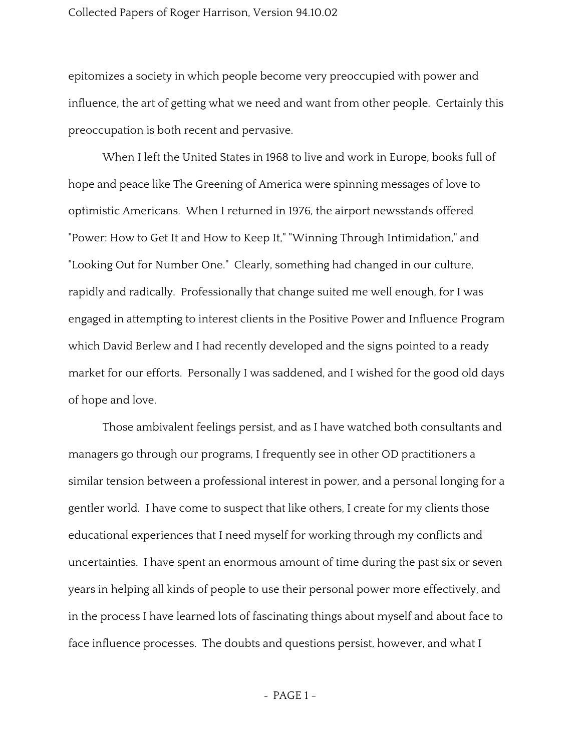epitomizes a society in which people become very preoccupied with power and influence, the art of getting what we need and want from other people. Certainly this preoccupation is both recent and pervasive.

When I left the United States in 1968 to live and work in Europe, books full of hope and peace like The Greening of America were spinning messages of love to optimistic Americans. When I returned in 1976, the airport newsstands offered "Power: How to Get It and How to Keep It," "Winning Through Intimidation," and "Looking Out for Number One." Clearly, something had changed in our culture, rapidly and radically. Professionally that change suited me well enough, for I was engaged in attempting to interest clients in the Positive Power and Influence Program which David Berlew and I had recently developed and the signs pointed to a ready market for our efforts. Personally I was saddened, and I wished for the good old days of hope and love.

Those ambivalent feelings persist, and as I have watched both consultants and managers go through our programs, I frequently see in other OD practitioners a similar tension between a professional interest in power, and a personal longing for a gentler world. I have come to suspect that like others, I create for my clients those educational experiences that I need myself for working through my conflicts and uncertainties. I have spent an enormous amount of time during the past six or seven years in helping all kinds of people to use their personal power more effectively, and in the process I have learned lots of fascinating things about myself and about face to face influence processes. The doubts and questions persist, however, and what I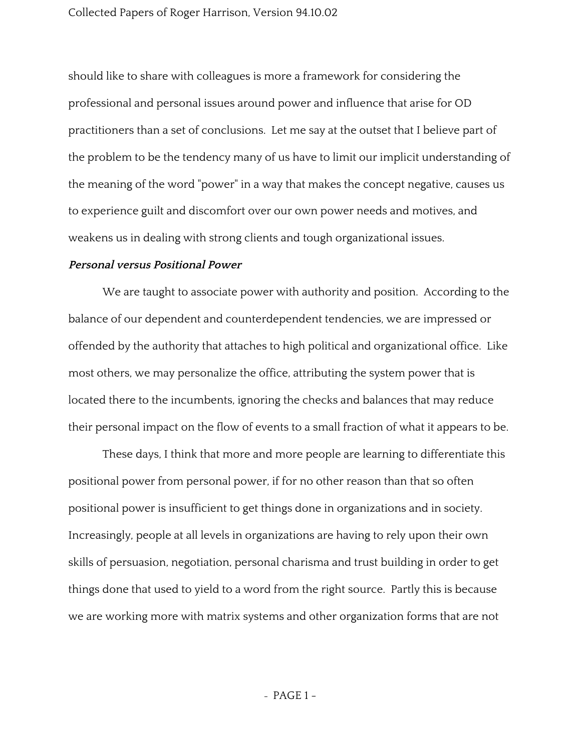should like to share with colleagues is more a framework for considering the professional and personal issues around power and influence that arise for OD practitioners than a set of conclusions. Let me say at the outset that I believe part of the problem to be the tendency many of us have to limit our implicit understanding of the meaning of the word "power" in a way that makes the concept negative, causes us to experience guilt and discomfort over our own power needs and motives, and weakens us in dealing with strong clients and tough organizational issues.

## **Personal versus Positional Power**

We are taught to associate power with authority and position. According to the balance of our dependent and counterdependent tendencies, we are impressed or offended by the authority that attaches to high political and organizational office. Like most others, we may personalize the office, attributing the system power that is located there to the incumbents, ignoring the checks and balances that may reduce their personal impact on the flow of events to a small fraction of what it appears to be.

These days, I think that more and more people are learning to differentiate this positional power from personal power, if for no other reason than that so often positional power is insufficient to get things done in organizations and in society. Increasingly, people at all levels in organizations are having to rely upon their own skills of persuasion, negotiation, personal charisma and trust building in order to get things done that used to yield to a word from the right source. Partly this is because we are working more with matrix systems and other organization forms that are not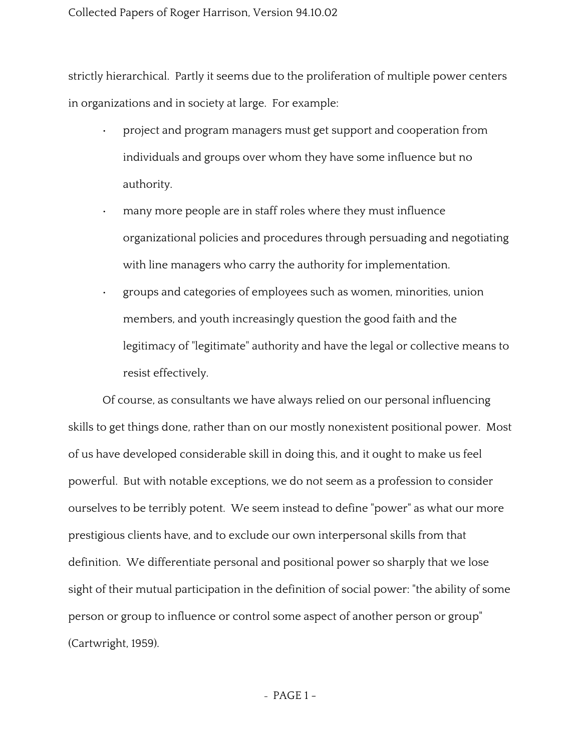strictly hierarchical. Partly it seems due to the proliferation of multiple power centers in organizations and in society at large. For example:

- project and program managers must get support and cooperation from individuals and groups over whom they have some influence but no authority.
- many more people are in staff roles where they must influence organizational policies and procedures through persuading and negotiating with line managers who carry the authority for implementation.
- groups and categories of employees such as women, minorities, union members, and youth increasingly question the good faith and the legitimacy of "legitimate" authority and have the legal or collective means to resist effectively.

Of course, as consultants we have always relied on our personal influencing skills to get things done, rather than on our mostly nonexistent positional power. Most of us have developed considerable skill in doing this, and it ought to make us feel powerful. But with notable exceptions, we do not seem as a profession to consider ourselves to be terribly potent. We seem instead to define "power" as what our more prestigious clients have, and to exclude our own interpersonal skills from that definition. We differentiate personal and positional power so sharply that we lose sight of their mutual participation in the definition of social power: "the ability of some person or group to influence or control some aspect of another person or group" (Cartwright, 1959).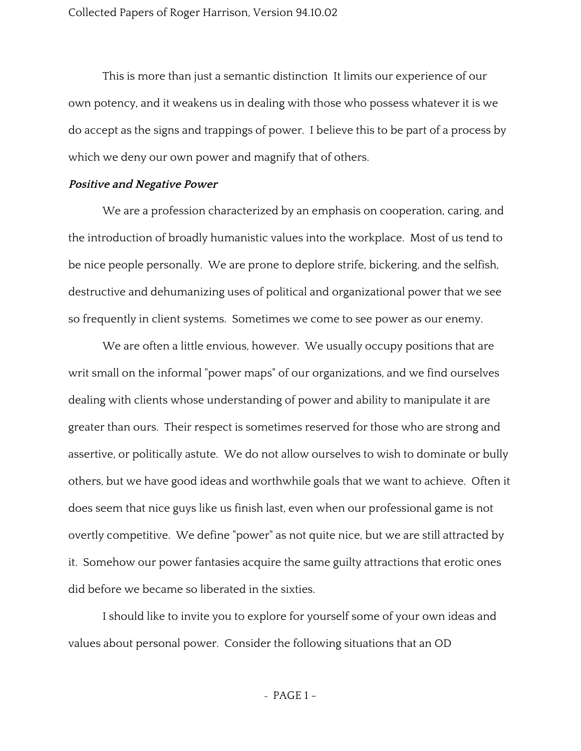This is more than just a semantic distinction It limits our experience of our own potency, and it weakens us in dealing with those who possess whatever it is we do accept as the signs and trappings of power. I believe this to be part of a process by which we deny our own power and magnify that of others.

### **Positive and Negative Power**

We are a profession characterized by an emphasis on cooperation, caring, and the introduction of broadly humanistic values into the workplace. Most of us tend to be nice people personally. We are prone to deplore strife, bickering, and the selfish, destructive and dehumanizing uses of political and organizational power that we see so frequently in client systems. Sometimes we come to see power as our enemy.

We are often a little envious, however. We usually occupy positions that are writ small on the informal "power maps" of our organizations, and we find ourselves dealing with clients whose understanding of power and ability to manipulate it are greater than ours. Their respect is sometimes reserved for those who are strong and assertive, or politically astute. We do not allow ourselves to wish to dominate or bully others, but we have good ideas and worthwhile goals that we want to achieve. Often it does seem that nice guys like us finish last, even when our professional game is not overtly competitive. We define "power" as not quite nice, but we are still attracted by it. Somehow our power fantasies acquire the same guilty attractions that erotic ones did before we became so liberated in the sixties.

I should like to invite you to explore for yourself some of your own ideas and values about personal power. Consider the following situations that an OD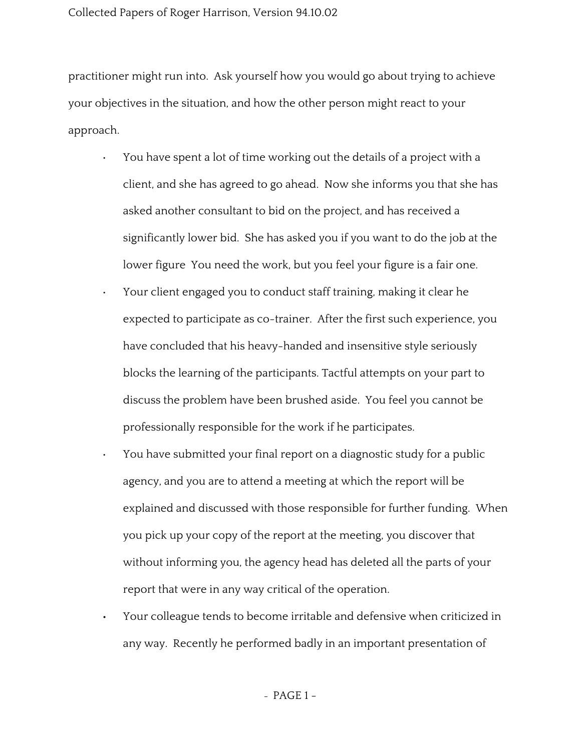practitioner might run into. Ask yourself how you would go about trying to achieve your objectives in the situation, and how the other person might react to your approach.

- You have spent a lot of time working out the details of a project with a client, and she has agreed to go ahead. Now she informs you that she has asked another consultant to bid on the project, and has received a significantly lower bid. She has asked you if you want to do the job at the lower figure You need the work, but you feel your figure is a fair one. • Your client engaged you to conduct staff training, making it clear he expected to participate as co-trainer. After the first such experience, you have concluded that his heavy-handed and insensitive style seriously blocks the learning of the participants. Tactful attempts on your part to discuss the problem have been brushed aside. You feel you cannot be
- You have submitted your final report on a diagnostic study for a public agency, and you are to attend a meeting at which the report will be explained and discussed with those responsible for further funding. When you pick up your copy of the report at the meeting, you discover that

professionally responsible for the work if he participates.

- without informing you, the agency head has deleted all the parts of your report that were in any way critical of the operation.
- **•** Your colleague tends to become irritable and defensive when criticized in any way. Recently he performed badly in an important presentation of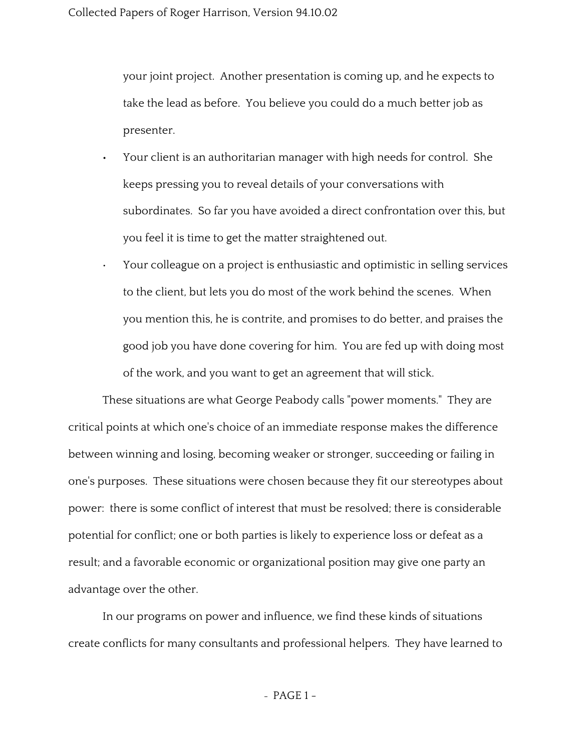your joint project. Another presentation is coming up, and he expects to take the lead as before. You believe you could do a much better job as presenter.

- **•** Your client is an authoritarian manager with high needs for control. She keeps pressing you to reveal details of your conversations with subordinates. So far you have avoided a direct confrontation over this, but you feel it is time to get the matter straightened out.
- Your colleague on a project is enthusiastic and optimistic in selling services to the client, but lets you do most of the work behind the scenes. When you mention this, he is contrite, and promises to do better, and praises the good job you have done covering for him. You are fed up with doing most of the work, and you want to get an agreement that will stick.

These situations are what George Peabody calls "power moments." They are critical points at which one's choice of an immediate response makes the difference between winning and losing, becoming weaker or stronger, succeeding or failing in one's purposes. These situations were chosen because they fit our stereotypes about power: there is some conflict of interest that must be resolved; there is considerable potential for conflict; one or both parties is likely to experience loss or defeat as a result; and a favorable economic or organizational position may give one party an advantage over the other.

In our programs on power and influence, we find these kinds of situations create conflicts for many consultants and professional helpers. They have learned to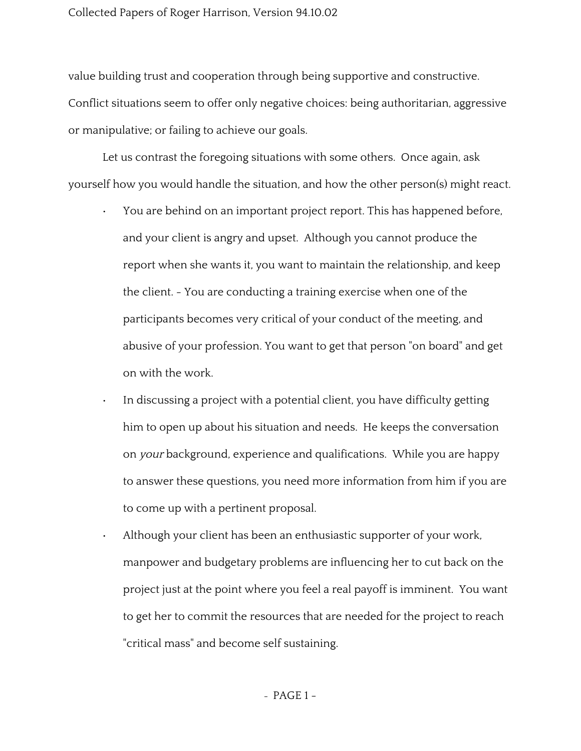value building trust and cooperation through being supportive and constructive. Conflict situations seem to offer only negative choices: being authoritarian, aggressive or manipulative; or failing to achieve our goals.

Let us contrast the foregoing situations with some others. Once again, ask yourself how you would handle the situation, and how the other person(s) might react.

• You are behind on an important project report. This has happened before, and your client is angry and upset. Although you cannot produce the report when she wants it, you want to maintain the relationship, and keep the client. - You are conducting a training exercise when one of the participants becomes very critical of your conduct of the meeting, and abusive of your profession. You want to get that person "on board" and get on with the work.

- In discussing a project with a potential client, you have difficulty getting him to open up about his situation and needs. He keeps the conversation on your background, experience and qualifications. While you are happy to answer these questions, you need more information from him if you are to come up with a pertinent proposal.
- Although your client has been an enthusiastic supporter of your work, manpower and budgetary problems are influencing her to cut back on the project just at the point where you feel a real payoff is imminent. You want to get her to commit the resources that are needed for the project to reach "critical mass" and become self sustaining.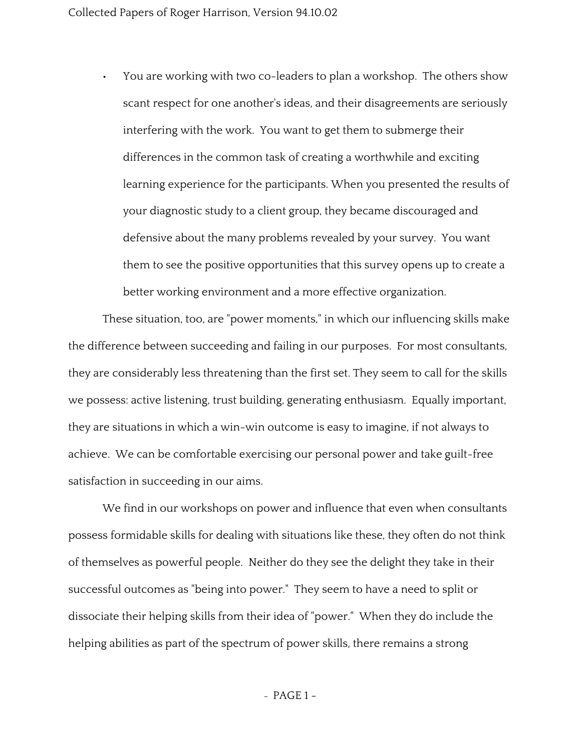**•** You are working with two co-leaders to plan a workshop. The others show scant respect for one another's ideas, and their disagreements are seriously interfering with the work. You want to get them to submerge their differences in the common task of creating a worthwhile and exciting learning experience for the participants. When you presented the results of your diagnostic study to a client group, they became discouraged and defensive about the many problems revealed by your survey. You want them to see the positive opportunities that this survey opens up to create a better working environment and a more effective organization.

These situation, too, are "power moments," in which our influencing skills make the difference between succeeding and failing in our purposes. For most consultants, they are considerably less threatening than the first set. They seem to call for the skills we possess: active listening, trust building, generating enthusiasm. Equally important, they are situations in which a win-win outcome is easy to imagine, if not always to achieve. We can be comfortable exercising our personal power and take guilt-free satisfaction in succeeding in our aims.

We find in our workshops on power and influence that even when consultants possess formidable skills for dealing with situations like these, they often do not think of themselves as powerful people. Neither do they see the delight they take in their successful outcomes as "being into power." They seem to have a need to split or dissociate their helping skills from their idea of "power." When they do include the helping abilities as part of the spectrum of power skills, there remains a strong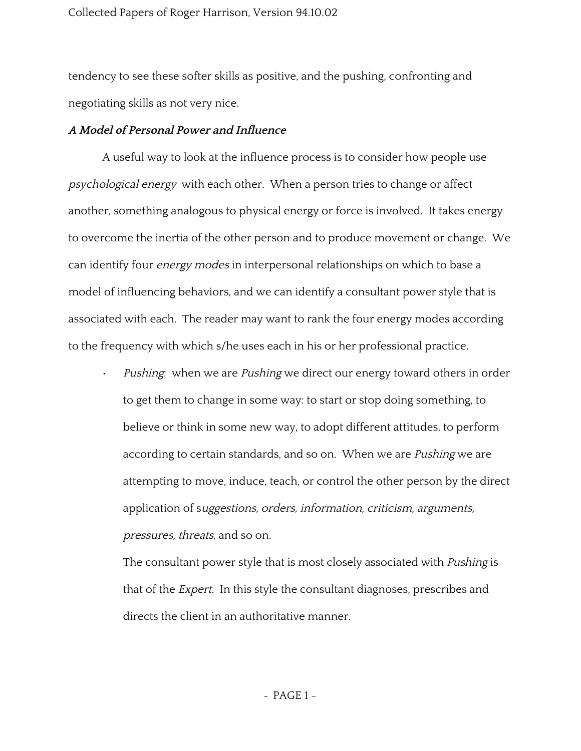tendency to see these softer skills as positive, and the pushing, confronting and negotiating skills as not very nice.

## **A Model of Personal Power and Influence**

A useful way to look at the influence process is to consider how people use psychological energy with each other. When a person tries to change or affect another, something analogous to physical energy or force is involved. It takes energy to overcome the inertia of the other person and to produce movement or change. We can identify four *energy modes* in interpersonal relationships on which to base a model of influencing behaviors, and we can identify a consultant power style that is associated with each. The reader may want to rank the four energy modes according to the frequency with which s/he uses each in his or her professional practice.

Pushing: when we are Pushing we direct our energy toward others in order to get them to change in some way: to start or stop doing something, to believe or think in some new way, to adopt different attitudes, to perform according to certain standards, and so on. When we are Pushing we are attempting to move, induce, teach, or control the other person by the direct application of suggestions, orders, information, criticism, arguments, pressures, threats, and so on.

The consultant power style that is most closely associated with Pushing is that of the *Expert*. In this style the consultant diagnoses, prescribes and directs the client in an authoritative manner.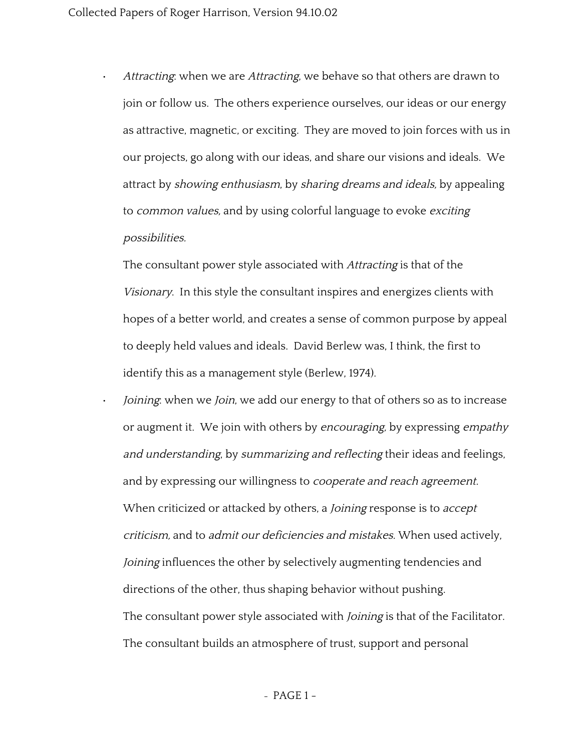• Attracting when we are Attracting, we behave so that others are drawn to join or follow us. The others experience ourselves, our ideas or our energy as attractive, magnetic, or exciting. They are moved to join forces with us in our projects, go along with our ideas, and share our visions and ideals. We attract by *showing enthusiasm*, by *sharing dreams and ideals*, by appealing to common values, and by using colorful language to evoke exciting possibilities.

The consultant power style associated with Attracting is that of the Visionary. In this style the consultant inspires and energizes clients with hopes of a better world, and creates a sense of common purpose by appeal to deeply held values and ideals. David Berlew was, I think, the first to identify this as a management style (Berlew, 1974).

Joining: when we Join, we add our energy to that of others so as to increase or augment it. We join with others by encouraging, by expressing empathy and understanding, by summarizing and reflecting their ideas and feelings, and by expressing our willingness to *cooperate and reach agreement*. When criticized or attacked by others, a *Joining* response is to *accept* criticism, and to admit our deficiencies and mistakes. When used actively, Joining influences the other by selectively augmenting tendencies and directions of the other, thus shaping behavior without pushing. The consultant power style associated with *Joining* is that of the Facilitator. The consultant builds an atmosphere of trust, support and personal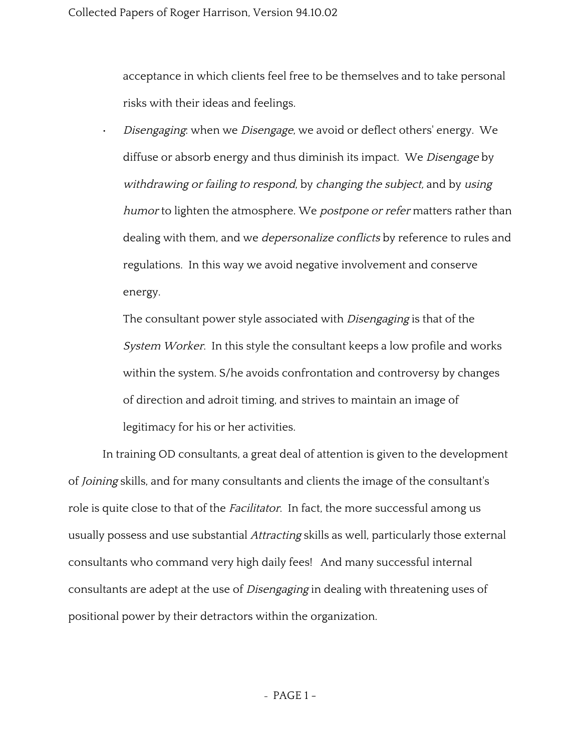acceptance in which clients feel free to be themselves and to take personal risks with their ideas and feelings.

• Disengaging: when we Disengage, we avoid or deflect others' energy. We diffuse or absorb energy and thus diminish its impact. We Disengage by withdrawing or failing to respond, by changing the subject, and by using humor to lighten the atmosphere. We *postpone or refer* matters rather than dealing with them, and we *depersonalize conflicts* by reference to rules and regulations. In this way we avoid negative involvement and conserve energy.

The consultant power style associated with *Disengaging* is that of the System Worker. In this style the consultant keeps a low profile and works within the system. S/he avoids confrontation and controversy by changes of direction and adroit timing, and strives to maintain an image of legitimacy for his or her activities.

In training OD consultants, a great deal of attention is given to the development of Joining skills, and for many consultants and clients the image of the consultant's role is quite close to that of the Facilitator. In fact, the more successful among us usually possess and use substantial *Attracting* skills as well, particularly those external consultants who command very high daily fees! And many successful internal consultants are adept at the use of Disengaging in dealing with threatening uses of positional power by their detractors within the organization.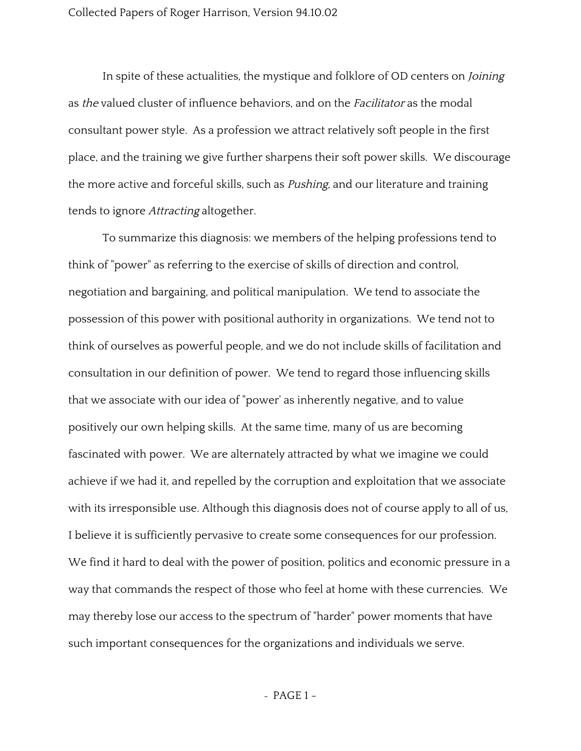In spite of these actualities, the mystique and folklore of OD centers on *Joining* as the valued cluster of influence behaviors, and on the *Facilitator* as the modal consultant power style. As a profession we attract relatively soft people in the first place, and the training we give further sharpens their soft power skills. We discourage the more active and forceful skills, such as *Pushing*, and our literature and training tends to ignore *Attracting* altogether.

To summarize this diagnosis: we members of the helping professions tend to think of "power" as referring to the exercise of skills of direction and control, negotiation and bargaining, and political manipulation. We tend to associate the possession of this power with positional authority in organizations. We tend not to think of ourselves as powerful people, and we do not include skills of facilitation and consultation in our definition of power. We tend to regard those influencing skills that we associate with our idea of "power' as inherently negative, and to value positively our own helping skills. At the same time, many of us are becoming fascinated with power. We are alternately attracted by what we imagine we could achieve if we had it, and repelled by the corruption and exploitation that we associate with its irresponsible use. Although this diagnosis does not of course apply to all of us, I believe it is sufficiently pervasive to create some consequences for our profession. We find it hard to deal with the power of position, politics and economic pressure in a way that commands the respect of those who feel at home with these currencies. We may thereby lose our access to the spectrum of "harder" power moments that have such important consequences for the organizations and individuals we serve.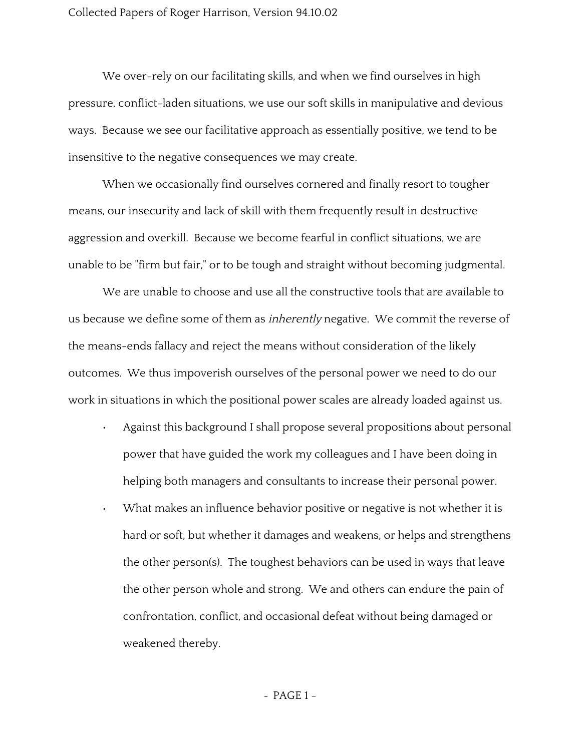We over-rely on our facilitating skills, and when we find ourselves in high pressure, conflict-laden situations, we use our soft skills in manipulative and devious ways. Because we see our facilitative approach as essentially positive, we tend to be insensitive to the negative consequences we may create.

When we occasionally find ourselves cornered and finally resort to tougher means, our insecurity and lack of skill with them frequently result in destructive aggression and overkill. Because we become fearful in conflict situations, we are unable to be "firm but fair," or to be tough and straight without becoming judgmental.

We are unable to choose and use all the constructive tools that are available to us because we define some of them as *inherently* negative. We commit the reverse of the means-ends fallacy and reject the means without consideration of the likely outcomes. We thus impoverish ourselves of the personal power we need to do our work in situations in which the positional power scales are already loaded against us.

• Against this background I shall propose several propositions about personal power that have guided the work my colleagues and I have been doing in helping both managers and consultants to increase their personal power. • What makes an influence behavior positive or negative is not whether it is hard or soft, but whether it damages and weakens, or helps and strengthens the other person(s). The toughest behaviors can be used in ways that leave the other person whole and strong. We and others can endure the pain of confrontation, conflict, and occasional defeat without being damaged or weakened thereby.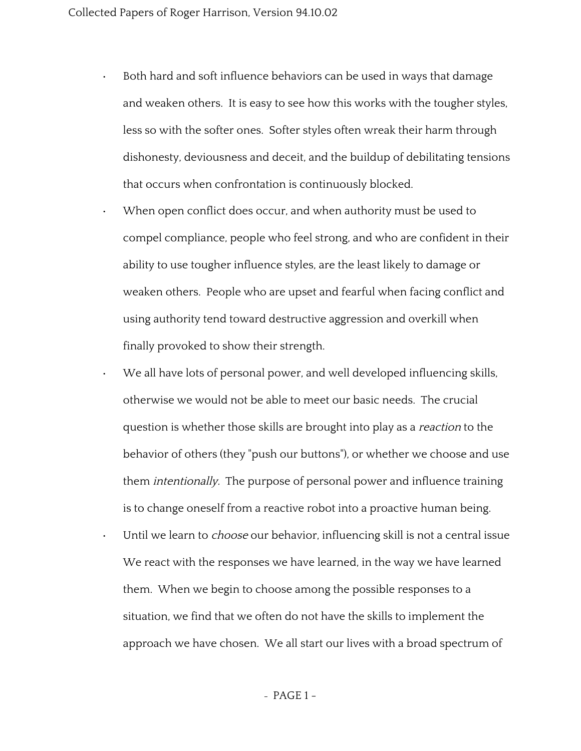• Both hard and soft influence behaviors can be used in ways that damage and weaken others. It is easy to see how this works with the tougher styles, less so with the softer ones. Softer styles often wreak their harm through dishonesty, deviousness and deceit, and the buildup of debilitating tensions that occurs when confrontation is continuously blocked.

• When open conflict does occur, and when authority must be used to compel compliance, people who feel strong, and who are confident in their ability to use tougher influence styles, are the least likely to damage or weaken others. People who are upset and fearful when facing conflict and using authority tend toward destructive aggression and overkill when finally provoked to show their strength.

• We all have lots of personal power, and well developed influencing skills, otherwise we would not be able to meet our basic needs. The crucial question is whether those skills are brought into play as a *reaction* to the behavior of others (they "push our buttons"), or whether we choose and use them *intentionally*. The purpose of personal power and influence training is to change oneself from a reactive robot into a proactive human being. • Until we learn to *choose* our behavior, influencing skill is not a central issue We react with the responses we have learned, in the way we have learned them. When we begin to choose among the possible responses to a situation, we find that we often do not have the skills to implement the approach we have chosen. We all start our lives with a broad spectrum of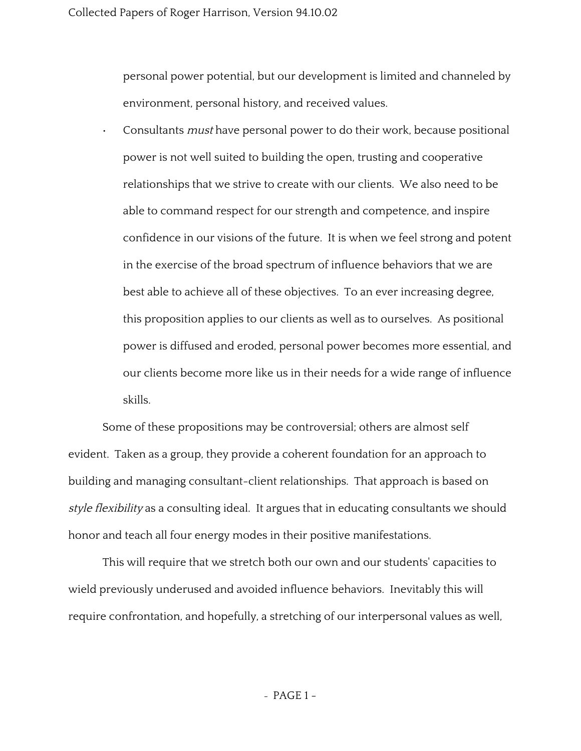personal power potential, but our development is limited and channeled by environment, personal history, and received values.

• Consultants must have personal power to do their work, because positional power is not well suited to building the open, trusting and cooperative relationships that we strive to create with our clients. We also need to be able to command respect for our strength and competence, and inspire confidence in our visions of the future. It is when we feel strong and potent in the exercise of the broad spectrum of influence behaviors that we are best able to achieve all of these objectives. To an ever increasing degree, this proposition applies to our clients as well as to ourselves. As positional power is diffused and eroded, personal power becomes more essential, and our clients become more like us in their needs for a wide range of influence skills.

Some of these propositions may be controversial; others are almost self evident. Taken as a group, they provide a coherent foundation for an approach to building and managing consultant-client relationships. That approach is based on style flexibility as a consulting ideal. It argues that in educating consultants we should honor and teach all four energy modes in their positive manifestations.

This will require that we stretch both our own and our students' capacities to wield previously underused and avoided influence behaviors. Inevitably this will require confrontation, and hopefully, a stretching of our interpersonal values as well,